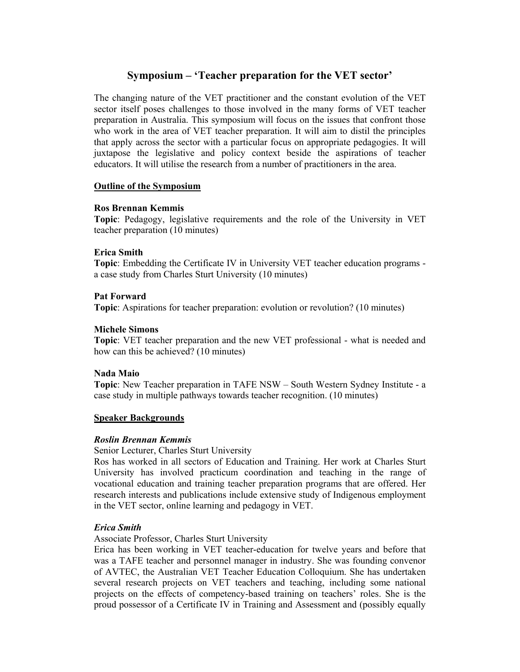# **Symposium – 'Teacher preparation for the VET sector'**

The changing nature of the VET practitioner and the constant evolution of the VET sector itself poses challenges to those involved in the many forms of VET teacher preparation in Australia. This symposium will focus on the issues that confront those who work in the area of VET teacher preparation. It will aim to distil the principles that apply across the sector with a particular focus on appropriate pedagogies. It will juxtapose the legislative and policy context beside the aspirations of teacher educators. It will utilise the research from a number of practitioners in the area.

## **Outline of the Symposium**

#### **Ros Brennan Kemmis**

**Topic**: Pedagogy, legislative requirements and the role of the University in VET teacher preparation (10 minutes)

#### **Erica Smith**

**Topic**: Embedding the Certificate IV in University VET teacher education programs a case study from Charles Sturt University (10 minutes)

## **Pat Forward**

**Topic**: Aspirations for teacher preparation: evolution or revolution? (10 minutes)

#### **Michele Simons**

**Topic**: VET teacher preparation and the new VET professional - what is needed and how can this be achieved? (10 minutes)

#### **Nada Maio**

**Topic**: New Teacher preparation in TAFE NSW – South Western Sydney Institute - a case study in multiple pathways towards teacher recognition. (10 minutes)

#### **Speaker Backgrounds**

#### *Roslin Brennan Kemmis*

Senior Lecturer, Charles Sturt University

Ros has worked in all sectors of Education and Training. Her work at Charles Sturt University has involved practicum coordination and teaching in the range of vocational education and training teacher preparation programs that are offered. Her research interests and publications include extensive study of Indigenous employment in the VET sector, online learning and pedagogy in VET.

## *Erica Smith*

Associate Professor, Charles Sturt University

Erica has been working in VET teacher-education for twelve years and before that was a TAFE teacher and personnel manager in industry. She was founding convenor of AVTEC, the Australian VET Teacher Education Colloquium. She has undertaken several research projects on VET teachers and teaching, including some national projects on the effects of competency-based training on teachers' roles. She is the proud possessor of a Certificate IV in Training and Assessment and (possibly equally